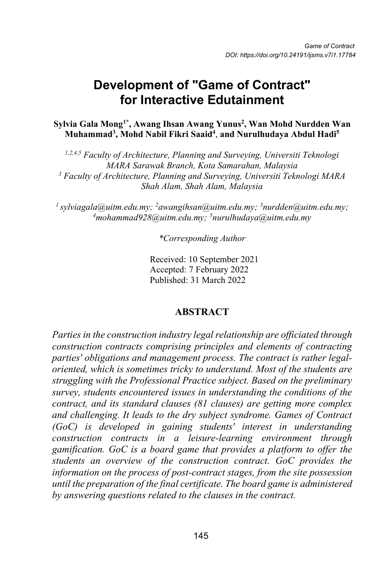# **Development of "Game of Contract" for Interactive Edutainment**

#### **Sylvia Gala Mong1\* , Awang Ihsan Awang Yunus2 , Wan Mohd Nurdden Wan Muhammad3 , Mohd Nabil Fikri Saaid4** , **and Nurulhudaya Abdul Hadi5**

*1,2,4,5 Faculty of Architecture, Planning and Surveying, Universiti Teknologi MARA Sarawak Branch, Kota Samarahan, Malaysia <sup>3</sup> Faculty of Architecture, Planning and Surveying, Universiti Teknologi MARA Shah Alam, Shah Alam, Malaysia*

<sup>1</sup> sylviagala@uitm.edu.my; <sup>2</sup>awangihsan@uitm.edu.my; <sup>3</sup>nurdden@uitm.edu.my; *4 mohammad928@uitm.edu.my; 5 nurulhudaya@uitm.edu.my*

*\*Corresponding Author*

Received: 10 September 2021 Accepted: 7 February 2022 Published: 31 March 2022

### **ABSTRACT**

*Parties in the construction industry legal relationship are officiated through construction contracts comprising principles and elements of contracting parties' obligations and management process. The contract is rather legaloriented, which is sometimes tricky to understand. Most of the students are struggling with the Professional Practice subject. Based on the preliminary survey, students encountered issues in understanding the conditions of the contract, and its standard clauses (81 clauses) are getting more complex and challenging. It leads to the dry subject syndrome. Games of Contract (GoC) is developed in gaining students' interest in understanding construction contracts in a leisure-learning environment through gamification. GoC is a board game that provides a platform to offer the students an overview of the construction contract. GoC provides the information on the process of post-contract stages, from the site possession until the preparation of the final certificate. The board game is administered by answering questions related to the clauses in the contract.*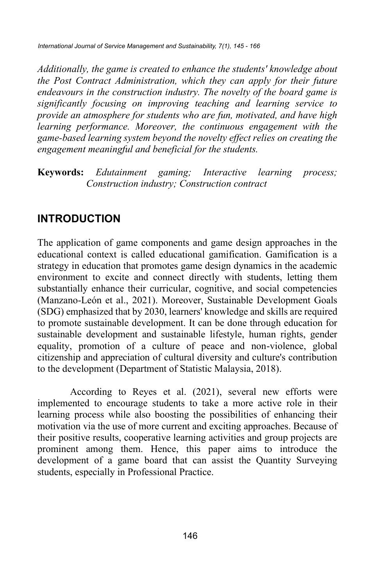*Additionally, the game is created to enhance the students' knowledge about the Post Contract Administration, which they can apply for their future endeavours in the construction industry. The novelty of the board game is significantly focusing on improving teaching and learning service to provide an atmosphere for students who are fun, motivated, and have high learning performance. Moreover, the continuous engagement with the game-based learning system beyond the novelty effect relies on creating the engagement meaningful and beneficial for the students.* 

**Keywords:** *Edutainment gaming; Interactive learning process; Construction industry; Construction contract*

# **INTRODUCTION**

The application of game components and game design approaches in the educational context is called educational gamification. Gamification is a strategy in education that promotes game design dynamics in the academic environment to excite and connect directly with students, letting them substantially enhance their curricular, cognitive, and social competencies (Manzano-León et al., 2021). Moreover, Sustainable Development Goals (SDG) emphasized that by 2030, learners' knowledge and skills are required to promote sustainable development. It can be done through education for sustainable development and sustainable lifestyle, human rights, gender equality, promotion of a culture of peace and non-violence, global citizenship and appreciation of cultural diversity and culture's contribution to the development (Department of Statistic Malaysia, 2018).

According to Reyes et al. (2021), several new efforts were implemented to encourage students to take a more active role in their learning process while also boosting the possibilities of enhancing their motivation via the use of more current and exciting approaches. Because of their positive results, cooperative learning activities and group projects are prominent among them. Hence, this paper aims to introduce the development of a game board that can assist the Quantity Surveying students, especially in Professional Practice.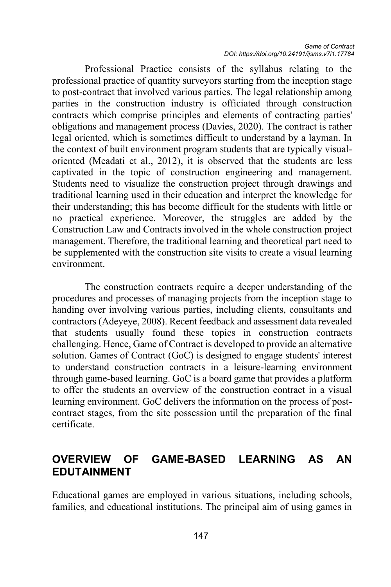Professional Practice consists of the syllabus relating to the professional practice of quantity surveyors starting from the inception stage to post-contract that involved various parties. The legal relationship among parties in the construction industry is officiated through construction contracts which comprise principles and elements of contracting parties' obligations and management process (Davies, 2020). The contract is rather legal oriented, which is sometimes difficult to understand by a layman. In the context of built environment program students that are typically visualoriented (Meadati et al., 2012), it is observed that the students are less captivated in the topic of construction engineering and management. Students need to visualize the construction project through drawings and traditional learning used in their education and interpret the knowledge for their understanding; this has become difficult for the students with little or no practical experience. Moreover, the struggles are added by the Construction Law and Contracts involved in the whole construction project management. Therefore, the traditional learning and theoretical part need to be supplemented with the construction site visits to create a visual learning environment.

The construction contracts require a deeper understanding of the procedures and processes of managing projects from the inception stage to handing over involving various parties, including clients, consultants and contractors (Adeyeye, 2008). Recent feedback and assessment data revealed that students usually found these topics in construction contracts challenging. Hence, Game of Contract is developed to provide an alternative solution. Games of Contract (GoC) is designed to engage students' interest to understand construction contracts in a leisure-learning environment through game-based learning. GoC is a board game that provides a platform to offer the students an overview of the construction contract in a visual learning environment. GoC delivers the information on the process of postcontract stages, from the site possession until the preparation of the final certificate.

# **OVERVIEW OF GAME-BASED LEARNING AS AN EDUTAINMENT**

Educational games are employed in various situations, including schools, families, and educational institutions. The principal aim of using games in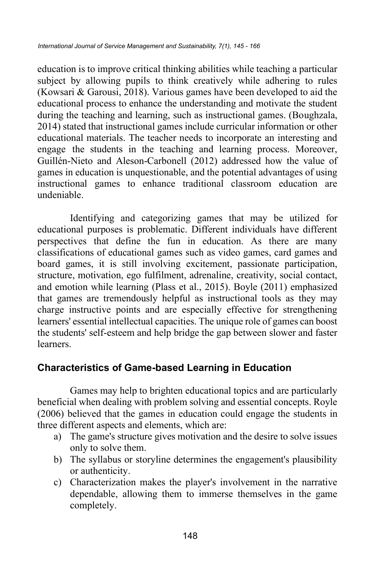education is to improve critical thinking abilities while teaching a particular subject by allowing pupils to think creatively while adhering to rules (Kowsari & Garousi, 2018). Various games have been developed to aid the educational process to enhance the understanding and motivate the student during the teaching and learning, such as instructional games. (Boughzala, 2014) stated that instructional games include curricular information or other educational materials. The teacher needs to incorporate an interesting and engage the students in the teaching and learning process. Moreover, Guillén-Nieto and Aleson-Carbonell (2012) addressed how the value of games in education is unquestionable, and the potential advantages of using instructional games to enhance traditional classroom education are undeniable.

Identifying and categorizing games that may be utilized for educational purposes is problematic. Different individuals have different perspectives that define the fun in education. As there are many classifications of educational games such as video games, card games and board games, it is still involving excitement, passionate participation, structure, motivation, ego fulfilment, adrenaline, creativity, social contact, and emotion while learning (Plass et al., 2015). Boyle (2011) emphasized that games are tremendously helpful as instructional tools as they may charge instructive points and are especially effective for strengthening learners' essential intellectual capacities. The unique role of games can boost the students' self-esteem and help bridge the gap between slower and faster learners.

### **Characteristics of Game-based Learning in Education**

Games may help to brighten educational topics and are particularly beneficial when dealing with problem solving and essential concepts. Royle (2006) believed that the games in education could engage the students in three different aspects and elements, which are:

- a) The game's structure gives motivation and the desire to solve issues only to solve them.
- b) The syllabus or storyline determines the engagement's plausibility or authenticity.
- c) Characterization makes the player's involvement in the narrative dependable, allowing them to immerse themselves in the game completely.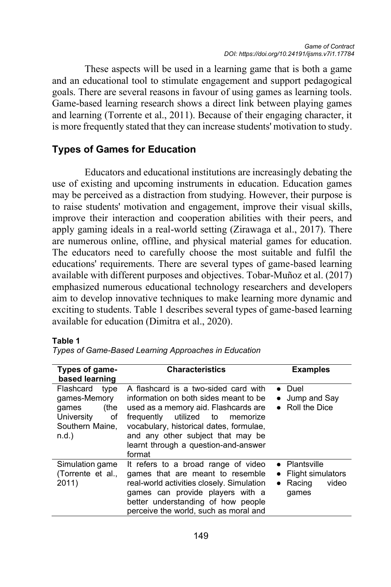These aspects will be used in a learning game that is both a game and an educational tool to stimulate engagement and support pedagogical goals. There are several reasons in favour of using games as learning tools. Game-based learning research shows a direct link between playing games and learning (Torrente et al., 2011). Because of their engaging character, it is more frequently stated that they can increase students' motivation to study.

### **Types of Games for Education**

Educators and educational institutions are increasingly debating the use of existing and upcoming instruments in education. Education games may be perceived as a distraction from studying. However, their purpose is to raise students' motivation and engagement, improve their visual skills, improve their interaction and cooperation abilities with their peers, and apply gaming ideals in a real-world setting (Zirawaga et al., 2017). There are numerous online, offline, and physical material games for education. The educators need to carefully choose the most suitable and fulfil the educations' requirements. There are several types of game-based learning available with different purposes and objectives. Tobar-Muñoz et al. (2017) emphasized numerous educational technology researchers and developers aim to develop innovative techniques to make learning more dynamic and exciting to students. Table 1 describes several types of game-based learning available for education (Dimitra et al., 2020).

#### **Table 1**

| <b>Characteristics</b><br>Types of game-<br>based learning                                            |                                                                                                                                                                                                                                                                                               | <b>Examples</b>                                                            |
|-------------------------------------------------------------------------------------------------------|-----------------------------------------------------------------------------------------------------------------------------------------------------------------------------------------------------------------------------------------------------------------------------------------------|----------------------------------------------------------------------------|
| Flashcard<br>type<br>games-Memory<br>(the<br>qames<br>University<br>of<br>Southern Maine,<br>$n.d.$ ) | A flashcard is a two-sided card with<br>information on both sides meant to be<br>used as a memory aid. Flashcards are<br>frequently utilized to<br>memorize<br>vocabulary, historical dates, formulae,<br>and any other subject that may be<br>learnt through a question-and-answer<br>format | $\bullet$ Duel<br>Jump and Say<br>• Roll the Dice                          |
| Simulation game<br>(Torrente et al.,<br>2011)                                                         | It refers to a broad range of video<br>games that are meant to resemble<br>real-world activities closely. Simulation<br>games can provide players with a<br>better understanding of how people<br>perceive the world, such as moral and                                                       | • Plantsville<br>• Flight simulators<br>$\bullet$ Racing<br>video<br>qames |

*Types of Game-Based Learning Approaches in Education*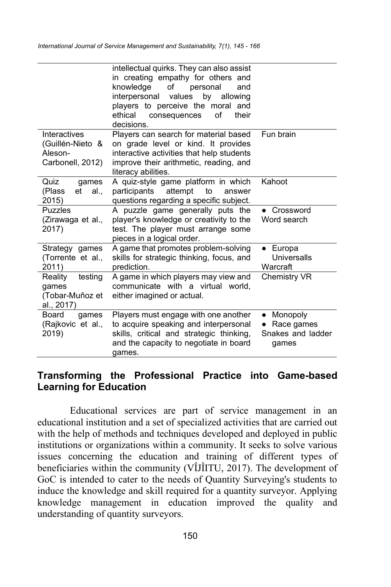|                                                                 | intellectual quirks. They can also assist<br>in creating empathy for others and<br>knowledge<br>οf<br>personal<br>and<br>values<br>interpersonal<br>by<br>allowing<br>players to perceive the moral and<br>ethical<br>οf<br>their<br>consequences<br>decisions. |                                                                   |
|-----------------------------------------------------------------|-----------------------------------------------------------------------------------------------------------------------------------------------------------------------------------------------------------------------------------------------------------------|-------------------------------------------------------------------|
| Interactives<br>(Guillén-Nieto &<br>Aleson-<br>Carbonell, 2012) | Players can search for material based<br>on grade level or kind. It provides<br>interactive activities that help students<br>improve their arithmetic, reading, and<br>literacy abilities.                                                                      | Fun brain                                                         |
| Quiz<br>qames<br>(Plass<br>et<br>al<br>2015)                    | A quiz-style game platform in which<br>participants<br>attempt<br>to<br>answer<br>questions regarding a specific subject.                                                                                                                                       | Kahoot                                                            |
| <b>Puzzles</b><br>(Zirawaga et al.,<br>2017)                    | A puzzle game generally puts the<br>player's knowledge or creativity to the<br>test. The player must arrange some<br>pieces in a logical order.                                                                                                                 | Crossword<br>Word search                                          |
| Strategy games<br>(Torrente et al.,<br>2011)                    | A game that promotes problem-solving<br>skills for strategic thinking, focus, and<br>prediction.                                                                                                                                                                | $\bullet$ Europa<br>Universalls<br>Warcraft                       |
| testing<br>Reality<br>qames<br>(Tobar-Muñoz et<br>al., 2017)    | A game in which players may view and<br>communicate with a virtual world.<br>either imagined or actual.                                                                                                                                                         | Chemistry VR                                                      |
| Board<br>qames<br>(Rajkovic et al.,<br>2019)                    | Players must engage with one another<br>to acquire speaking and interpersonal<br>skills, critical and strategic thinking,<br>and the capacity to negotiate in board<br>games.                                                                                   | Monopoly<br>$\bullet$<br>Race games<br>Snakes and ladder<br>qames |

### **Transforming the Professional Practice into Game-based Learning for Education**

Educational services are part of service management in an educational institution and a set of specialized activities that are carried out with the help of methods and techniques developed and deployed in public institutions or organizations within a community. It seeks to solve various issues concerning the education and training of different types of beneficiaries within the community (VÎJÎITU, 2017). The development of GoC is intended to cater to the needs of Quantity Surveying's students to induce the knowledge and skill required for a quantity surveyor. Applying knowledge management in education improved the quality and understanding of quantity surveyors.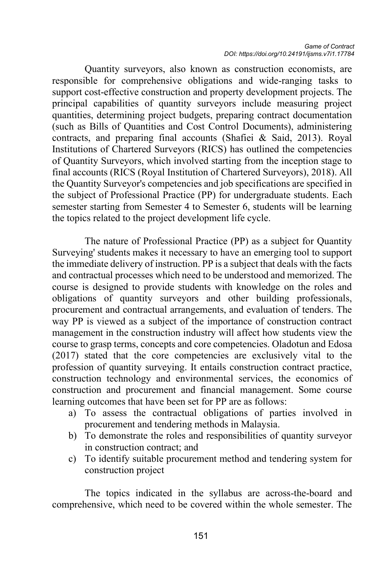Quantity surveyors, also known as construction economists, are responsible for comprehensive obligations and wide-ranging tasks to support cost-effective construction and property development projects. The principal capabilities of quantity surveyors include measuring project quantities, determining project budgets, preparing contract documentation (such as Bills of Quantities and Cost Control Documents), administering contracts, and preparing final accounts (Shafiei & Said, 2013). Royal Institutions of Chartered Surveyors (RICS) has outlined the competencies of Quantity Surveyors, which involved starting from the inception stage to final accounts (RICS (Royal Institution of Chartered Surveyors), 2018). All the Quantity Surveyor's competencies and job specifications are specified in the subject of Professional Practice (PP) for undergraduate students. Each semester starting from Semester 4 to Semester 6, students will be learning the topics related to the project development life cycle.

The nature of Professional Practice (PP) as a subject for Quantity Surveying' students makes it necessary to have an emerging tool to support the immediate delivery of instruction. PP is a subject that deals with the facts and contractual processes which need to be understood and memorized. The course is designed to provide students with knowledge on the roles and obligations of quantity surveyors and other building professionals, procurement and contractual arrangements, and evaluation of tenders. The way PP is viewed as a subject of the importance of construction contract management in the construction industry will affect how students view the course to grasp terms, concepts and core competencies. Oladotun and Edosa (2017) stated that the core competencies are exclusively vital to the profession of quantity surveying. It entails construction contract practice, construction technology and environmental services, the economics of construction and procurement and financial management. Some course learning outcomes that have been set for PP are as follows:

- a) To assess the contractual obligations of parties involved in procurement and tendering methods in Malaysia.
- b) To demonstrate the roles and responsibilities of quantity surveyor in construction contract; and
- c) To identify suitable procurement method and tendering system for construction project

The topics indicated in the syllabus are across-the-board and comprehensive, which need to be covered within the whole semester. The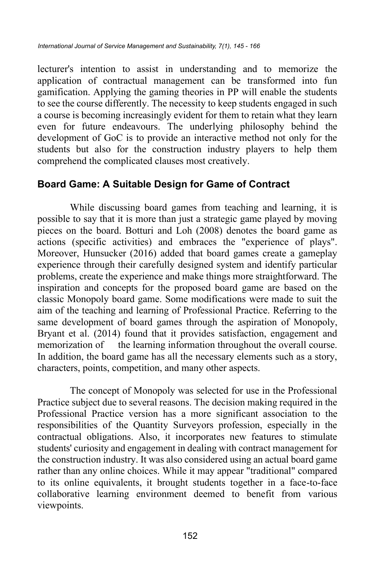lecturer's intention to assist in understanding and to memorize the application of contractual management can be transformed into fun gamification. Applying the gaming theories in PP will enable the students to see the course differently. The necessity to keep students engaged in such a course is becoming increasingly evident for them to retain what they learn even for future endeavours. The underlying philosophy behind the development of GoC is to provide an interactive method not only for the students but also for the construction industry players to help them comprehend the complicated clauses most creatively.

### **Board Game: A Suitable Design for Game of Contract**

While discussing board games from teaching and learning, it is possible to say that it is more than just a strategic game played by moving pieces on the board. Botturi and Loh (2008) denotes the board game as actions (specific activities) and embraces the "experience of plays". Moreover, Hunsucker (2016) added that board games create a gameplay experience through their carefully designed system and identify particular problems, create the experience and make things more straightforward. The inspiration and concepts for the proposed board game are based on the classic Monopoly board game. Some modifications were made to suit the aim of the teaching and learning of Professional Practice. Referring to the same development of board games through the aspiration of Monopoly, Bryant et al. (2014) found that it provides satisfaction, engagement and memorization of the learning information throughout the overall course. In addition, the board game has all the necessary elements such as a story, characters, points, competition, and many other aspects.

The concept of Monopoly was selected for use in the Professional Practice subject due to several reasons. The decision making required in the Professional Practice version has a more significant association to the responsibilities of the Quantity Surveyors profession, especially in the contractual obligations. Also, it incorporates new features to stimulate students' curiosity and engagement in dealing with contract management for the construction industry. It was also considered using an actual board game rather than any online choices. While it may appear "traditional" compared to its online equivalents, it brought students together in a face-to-face collaborative learning environment deemed to benefit from various viewpoints.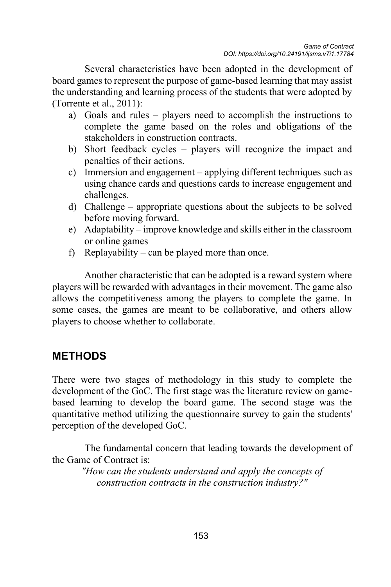Several characteristics have been adopted in the development of board games to represent the purpose of game-based learning that may assist the understanding and learning process of the students that were adopted by (Torrente et al., 2011):

- a) Goals and rules players need to accomplish the instructions to complete the game based on the roles and obligations of the stakeholders in construction contracts.
- b) Short feedback cycles players will recognize the impact and penalties of their actions.
- c) Immersion and engagement applying different techniques such as using chance cards and questions cards to increase engagement and challenges.
- d) Challenge appropriate questions about the subjects to be solved before moving forward.
- e) Adaptability improve knowledge and skills either in the classroom or online games
- f) Replayability can be played more than once.

Another characteristic that can be adopted is a reward system where players will be rewarded with advantages in their movement. The game also allows the competitiveness among the players to complete the game. In some cases, the games are meant to be collaborative, and others allow players to choose whether to collaborate.

# **METHODS**

There were two stages of methodology in this study to complete the development of the GoC. The first stage was the literature review on gamebased learning to develop the board game. The second stage was the quantitative method utilizing the questionnaire survey to gain the students' perception of the developed GoC.

The fundamental concern that leading towards the development of the Game of Contract is:

*"How can the students understand and apply the concepts of construction contracts in the construction industry?"*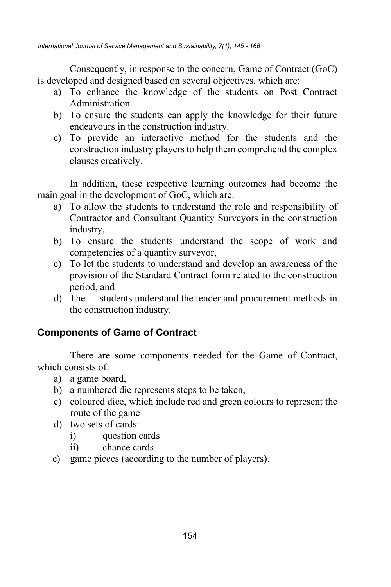Consequently, in response to the concern, Game of Contract (GoC) is developed and designed based on several objectives, which are:

- a) To enhance the knowledge of the students on Post Contract Administration.
- b) To ensure the students can apply the knowledge for their future endeavours in the construction industry.
- c) To provide an interactive method for the students and the construction industry players to help them comprehend the complex clauses creatively.

In addition, these respective learning outcomes had become the main goal in the development of GoC, which are:

- a) To allow the students to understand the role and responsibility of Contractor and Consultant Quantity Surveyors in the construction industry,
- b) To ensure the students understand the scope of work and competencies of a quantity surveyor,
- c) To let the students to understand and develop an awareness of the provision of the Standard Contract form related to the construction period, and
- d) The students understand the tender and procurement methods in the construction industry.

# **Components of Game of Contract**

There are some components needed for the Game of Contract, which consists of:

- a) a game board,
- b) a numbered die represents steps to be taken,
- c) coloured dice, which include red and green colours to represent the route of the game
- d) two sets of cards:
	- i) question cards
	- ii) chance cards
- e) game pieces (according to the number of players).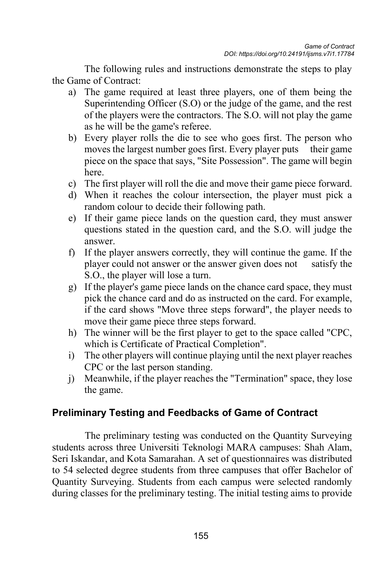The following rules and instructions demonstrate the steps to play the Game of Contract:

- a) The game required at least three players, one of them being the Superintending Officer (S.O) or the judge of the game, and the rest of the players were the contractors. The S.O. will not play the game as he will be the game's referee.
- b) Every player rolls the die to see who goes first. The person who moves the largest number goes first. Every player puts their game piece on the space that says, "Site Possession". The game will begin here.
- c) The first player will roll the die and move their game piece forward.
- d) When it reaches the colour intersection, the player must pick a random colour to decide their following path.
- e) If their game piece lands on the question card, they must answer questions stated in the question card, and the S.O. will judge the answer.
- f) If the player answers correctly, they will continue the game. If the player could not answer or the answer given does not satisfy the S.O., the player will lose a turn.
- g) If the player's game piece lands on the chance card space, they must pick the chance card and do as instructed on the card. For example, if the card shows "Move three steps forward", the player needs to move their game piece three steps forward.
- h) The winner will be the first player to get to the space called "CPC, which is Certificate of Practical Completion".
- i) The other players will continue playing until the next player reaches CPC or the last person standing.
- j) Meanwhile, if the player reaches the "Termination" space, they lose the game.

### **Preliminary Testing and Feedbacks of Game of Contract**

The preliminary testing was conducted on the Quantity Surveying students across three Universiti Teknologi MARA campuses: Shah Alam, Seri Iskandar, and Kota Samarahan. A set of questionnaires was distributed to 54 selected degree students from three campuses that offer Bachelor of Quantity Surveying. Students from each campus were selected randomly during classes for the preliminary testing. The initial testing aims to provide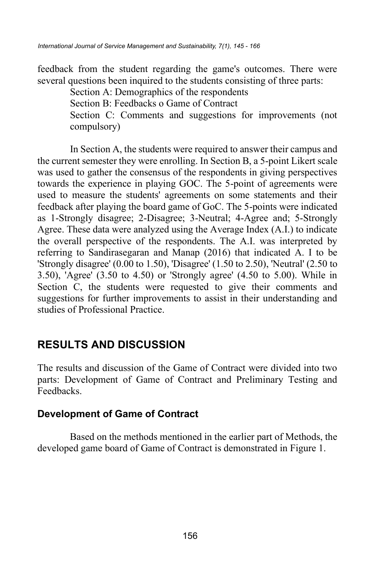feedback from the student regarding the game's outcomes. There were several questions been inquired to the students consisting of three parts:

Section A: Demographics of the respondents

Section B: Feedbacks o Game of Contract

Section C: Comments and suggestions for improvements (not compulsory)

In Section A, the students were required to answer their campus and the current semester they were enrolling. In Section B, a 5-point Likert scale was used to gather the consensus of the respondents in giving perspectives towards the experience in playing GOC. The 5-point of agreements were used to measure the students' agreements on some statements and their feedback after playing the board game of GoC. The 5-points were indicated as 1-Strongly disagree; 2-Disagree; 3-Neutral; 4-Agree and; 5-Strongly Agree. These data were analyzed using the Average Index (A.I.) to indicate the overall perspective of the respondents. The A.I. was interpreted by referring to Sandirasegaran and Manap (2016) that indicated A. I to be 'Strongly disagree' (0.00 to 1.50), 'Disagree' (1.50 to 2.50), 'Neutral' (2.50 to 3.50), 'Agree' (3.50 to 4.50) or 'Strongly agree' (4.50 to 5.00). While in Section C, the students were requested to give their comments and suggestions for further improvements to assist in their understanding and studies of Professional Practice.

# **RESULTS AND DISCUSSION**

The results and discussion of the Game of Contract were divided into two parts: Development of Game of Contract and Preliminary Testing and Feedbacks.

### **Development of Game of Contract**

Based on the methods mentioned in the earlier part of Methods, the developed game board of Game of Contract is demonstrated in Figure 1.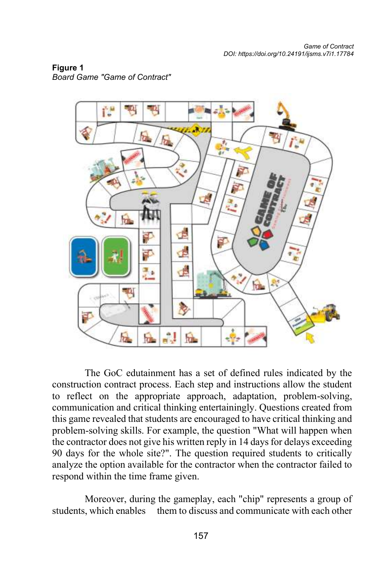

**Figure 1** *Board Game "Game of Contract"* 

The GoC edutainment has a set of defined rules indicated by the construction contract process. Each step and instructions allow the student to reflect on the appropriate approach, adaptation, problem-solving, communication and critical thinking entertainingly. Questions created from this game revealed that students are encouraged to have critical thinking and problem-solving skills. For example, the question "What will happen when the contractor does not give his written reply in 14 days for delays exceeding 90 days for the whole site?". The question required students to critically analyze the option available for the contractor when the contractor failed to respond within the time frame given.

Moreover, during the gameplay, each "chip" represents a group of students, which enables them to discuss and communicate with each other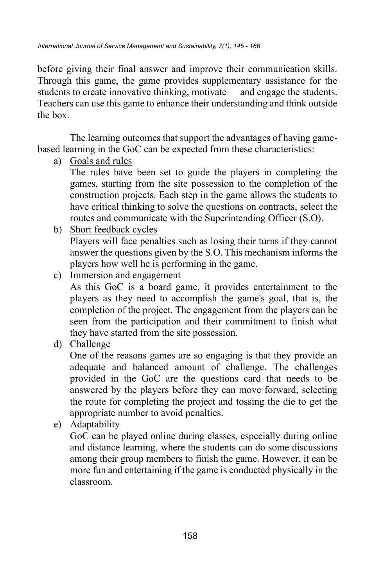before giving their final answer and improve their communication skills. Through this game, the game provides supplementary assistance for the students to create innovative thinking, motivate and engage the students. Teachers can use this game to enhance their understanding and think outside the box.

The learning outcomes that support the advantages of having gamebased learning in the GoC can be expected from these characteristics:

a) Goals and rules

The rules have been set to guide the players in completing the games, starting from the site possession to the completion of the construction projects. Each step in the game allows the students to have critical thinking to solve the questions on contracts, select the routes and communicate with the Superintending Officer (S.O).

b) Short feedback cycles

Players will face penalties such as losing their turns if they cannot answer the questions given by the S.O. This mechanism informs the players how well he is performing in the game.

c) Immersion and engagement

As this GoC is a board game, it provides entertainment to the players as they need to accomplish the game's goal, that is, the completion of the project. The engagement from the players can be seen from the participation and their commitment to finish what they have started from the site possession.

d) Challenge

One of the reasons games are so engaging is that they provide an adequate and balanced amount of challenge. The challenges provided in the GoC are the questions card that needs to be answered by the players before they can move forward, selecting the route for completing the project and tossing the die to get the appropriate number to avoid penalties.

e) Adaptability

GoC can be played online during classes, especially during online and distance learning, where the students can do some discussions among their group members to finish the game. However, it can be more fun and entertaining if the game is conducted physically in the classroom.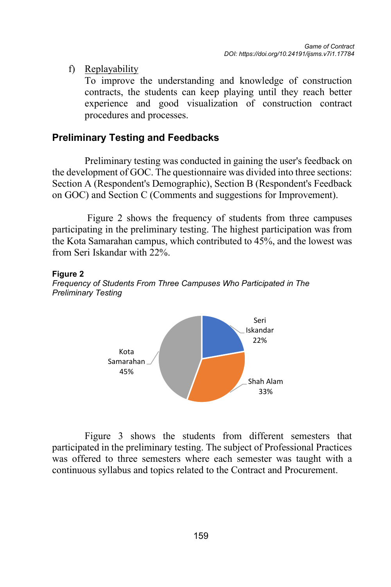f) Replayability

To improve the understanding and knowledge of construction contracts, the students can keep playing until they reach better experience and good visualization of construction contract procedures and processes.

## **Preliminary Testing and Feedbacks**

Preliminary testing was conducted in gaining the user's feedback on the development of GOC. The questionnaire was divided into three sections: Section A (Respondent's Demographic), Section B (Respondent's Feedback on GOC) and Section C (Comments and suggestions for Improvement).

Figure 2 shows the frequency of students from three campuses participating in the preliminary testing. The highest participation was from the Kota Samarahan campus, which contributed to 45%, and the lowest was from Seri Iskandar with 22%.

#### **Figure 2**





Figure 3 shows the students from different semesters that participated in the preliminary testing. The subject of Professional Practices was offered to three semesters where each semester was taught with a continuous syllabus and topics related to the Contract and Procurement.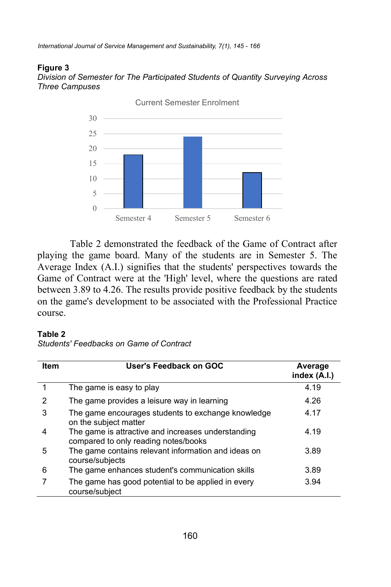*International Journal of Service Management and Sustainability, 7(1), 145 - 166*

#### **Figure 3**

*Division of Semester for The Participated Students of Quantity Surveying Across Three Campuses*



Table 2 demonstrated the feedback of the Game of Contract after playing the game board. Many of the students are in Semester 5. The Average Index (A.I.) signifies that the students' perspectives towards the Game of Contract were at the 'High' level, where the questions are rated between 3.89 to 4.26. The results provide positive feedback by the students on the game's development to be associated with the Professional Practice course.

#### **Table 2**

*Students' Feedbacks on Game of Contract*

| <b>Item</b> | User's Feedback on GOC                                                                     | Average<br>index (A.I.) |
|-------------|--------------------------------------------------------------------------------------------|-------------------------|
|             | The game is easy to play                                                                   | 4.19                    |
| 2           | The game provides a leisure way in learning                                                | 4.26                    |
| 3           | The game encourages students to exchange knowledge<br>on the subject matter                | 4.17                    |
|             | The game is attractive and increases understanding<br>compared to only reading notes/books | 4.19                    |
| 5           | The game contains relevant information and ideas on<br>course/subjects                     | 3.89                    |
| 6           | The game enhances student's communication skills                                           | 3.89                    |
|             | The game has good potential to be applied in every<br>course/subject                       | 3.94                    |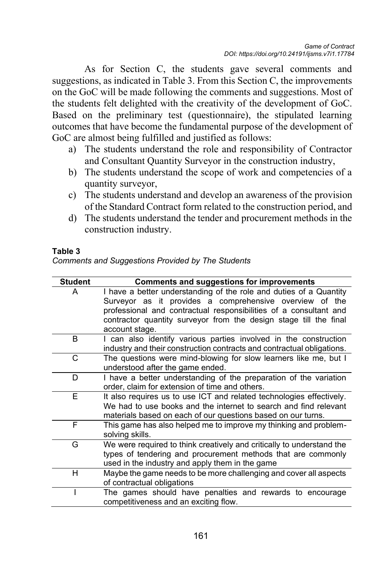As for Section C, the students gave several comments and suggestions, as indicated in Table 3. From this Section C, the improvements on the GoC will be made following the comments and suggestions. Most of the students felt delighted with the creativity of the development of GoC. Based on the preliminary test (questionnaire), the stipulated learning outcomes that have become the fundamental purpose of the development of GoC are almost being fulfilled and justified as follows:

- a) The students understand the role and responsibility of Contractor and Consultant Quantity Surveyor in the construction industry,
- b) The students understand the scope of work and competencies of a quantity surveyor,
- c) The students understand and develop an awareness of the provision of the Standard Contract form related to the construction period, and
- d) The students understand the tender and procurement methods in the construction industry.

#### **Table 3**

| <b>Comments and Suggestions Provided by The Students</b> |  |  |
|----------------------------------------------------------|--|--|
|                                                          |  |  |

| <b>Student</b> | <b>Comments and suggestions for improvements</b>                                                                                                                                                         |
|----------------|----------------------------------------------------------------------------------------------------------------------------------------------------------------------------------------------------------|
| А              | I have a better understanding of the role and duties of a Quantity<br>Surveyor as it provides a comprehensive overview of the                                                                            |
|                | professional and contractual responsibilities of a consultant and<br>contractor quantity surveyor from the design stage till the final<br>account stage.                                                 |
| B              |                                                                                                                                                                                                          |
|                | I can also identify various parties involved in the construction<br>industry and their construction contracts and contractual obligations.                                                               |
| C              | The questions were mind-blowing for slow learners like me, but I<br>understood after the game ended.                                                                                                     |
| D              | I have a better understanding of the preparation of the variation<br>order, claim for extension of time and others.                                                                                      |
| F.             | It also requires us to use ICT and related technologies effectively.<br>We had to use books and the internet to search and find relevant<br>materials based on each of our questions based on our turns. |
| F              | This game has also helped me to improve my thinking and problem-<br>solving skills.                                                                                                                      |
| G              | We were required to think creatively and critically to understand the<br>types of tendering and procurement methods that are commonly<br>used in the industry and apply them in the game                 |
| н              | Maybe the game needs to be more challenging and cover all aspects<br>of contractual obligations                                                                                                          |
|                | The games should have penalties and rewards to encourage<br>competitiveness and an exciting flow.                                                                                                        |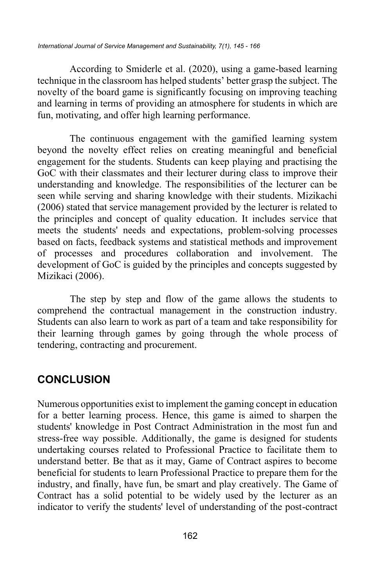According to Smiderle et al. (2020), using a game-based learning technique in the classroom has helped students' better grasp the subject. The novelty of the board game is significantly focusing on improving teaching and learning in terms of providing an atmosphere for students in which are fun, motivating, and offer high learning performance.

The continuous engagement with the gamified learning system beyond the novelty effect relies on creating meaningful and beneficial engagement for the students. Students can keep playing and practising the GoC with their classmates and their lecturer during class to improve their understanding and knowledge. The responsibilities of the lecturer can be seen while serving and sharing knowledge with their students. Mizikachi (2006) stated that service management provided by the lecturer is related to the principles and concept of quality education. It includes service that meets the students' needs and expectations, problem-solving processes based on facts, feedback systems and statistical methods and improvement of processes and procedures collaboration and involvement. The development of GoC is guided by the principles and concepts suggested by Mizikaci (2006).

The step by step and flow of the game allows the students to comprehend the contractual management in the construction industry. Students can also learn to work as part of a team and take responsibility for their learning through games by going through the whole process of tendering, contracting and procurement.

# **CONCLUSION**

Numerous opportunities exist to implement the gaming concept in education for a better learning process. Hence, this game is aimed to sharpen the students' knowledge in Post Contract Administration in the most fun and stress-free way possible. Additionally, the game is designed for students undertaking courses related to Professional Practice to facilitate them to understand better. Be that as it may, Game of Contract aspires to become beneficial for students to learn Professional Practice to prepare them for the industry, and finally, have fun, be smart and play creatively. The Game of Contract has a solid potential to be widely used by the lecturer as an indicator to verify the students' level of understanding of the post-contract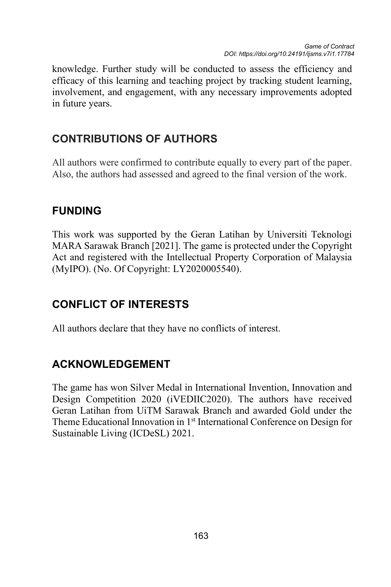knowledge. Further study will be conducted to assess the efficiency and efficacy of this learning and teaching project by tracking student learning, involvement, and engagement, with any necessary improvements adopted in future years.

# **CONTRIBUTIONS OF AUTHORS**

All authors were confirmed to contribute equally to every part of the paper. Also, the authors had assessed and agreed to the final version of the work.

# **FUNDING**

This work was supported by the Geran Latihan by Universiti Teknologi MARA Sarawak Branch [2021]. The game is protected under the Copyright Act and registered with the Intellectual Property Corporation of Malaysia (MyIPO). (No. Of Copyright: LY2020005540).

# **CONFLICT OF INTERESTS**

All authors declare that they have no conflicts of interest.

# **ACKNOWLEDGEMENT**

The game has won Silver Medal in International Invention, Innovation and Design Competition 2020 (iVEDIIC2020). The authors have received Geran Latihan from UiTM Sarawak Branch and awarded Gold under the Theme Educational Innovation in 1<sup>st</sup> International Conference on Design for Sustainable Living (ICDeSL) 2021.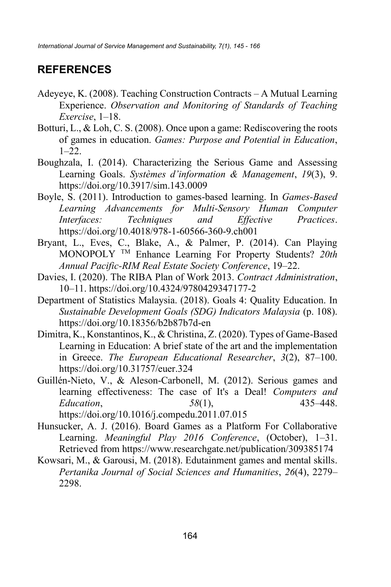# **REFERENCES**

- Adeyeye, K. (2008). Teaching Construction Contracts A Mutual Learning Experience. *Observation and Monitoring of Standards of Teaching Exercise*, 1–18.
- Botturi, L., & Loh, C. S. (2008). Once upon a game: Rediscovering the roots of games in education. *Games: Purpose and Potential in Education*, 1–22.
- Boughzala, I. (2014). Characterizing the Serious Game and Assessing Learning Goals. *Systèmes d'information & Management*, *19*(3), 9. https://doi.org/10.3917/sim.143.0009
- Boyle, S. (2011). Introduction to games-based learning. In *Games-Based Learning Advancements for Multi-Sensory Human Computer Interfaces: Techniques and Effective Practices*. https://doi.org/10.4018/978-1-60566-360-9.ch001
- Bryant, L., Eves, C., Blake, A., & Palmer, P. (2014). Can Playing MONOPOLY TM Enhance Learning For Property Students? *20th Annual Pacific-RIM Real Estate Society Conference*, 19–22.
- Davies, I. (2020). The RIBA Plan of Work 2013. *Contract Administration*, 10–11. https://doi.org/10.4324/9780429347177-2
- Department of Statistics Malaysia. (2018). Goals 4: Quality Education. In *Sustainable Development Goals (SDG) Indicators Malaysia* (p. 108). https://doi.org/10.18356/b2b87b7d-en
- Dimitra, K., Konstantinos, K., & Christina, Z. (2020). Types of Game-Based Learning in Education: A brief state of the art and the implementation in Greece. *The European Educational Researcher*, *3*(2), 87–100. https://doi.org/10.31757/euer.324
- Guillén-Nieto, V., & Aleson-Carbonell, M. (2012). Serious games and learning effectiveness: The case of It's a Deal! *Computers and Education*, *58*(1), 435–448.

https://doi.org/10.1016/j.compedu.2011.07.015

- Hunsucker, A. J. (2016). Board Games as a Platform For Collaborative Learning. *Meaningful Play 2016 Conference*, (October), 1–31. Retrieved from https://www.researchgate.net/publication/309385174
- Kowsari, M., & Garousi, M. (2018). Edutainment games and mental skills. *Pertanika Journal of Social Sciences and Humanities*, *26*(4), 2279– 2298.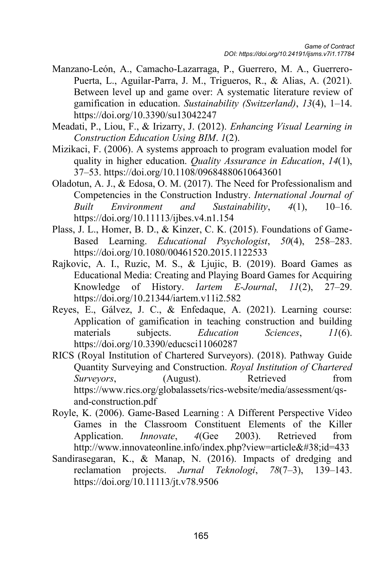- Manzano-León, A., Camacho-Lazarraga, P., Guerrero, M. A., Guerrero-Puerta, L., Aguilar-Parra, J. M., Trigueros, R., & Alias, A. (2021). Between level up and game over: A systematic literature review of gamification in education. *Sustainability (Switzerland)*, *13*(4), 1–14. https://doi.org/10.3390/su13042247
- Meadati, P., Liou, F., & Irizarry, J. (2012). *Enhancing Visual Learning in Construction Education Using BIM*. *1*(2).
- Mizikaci, F. (2006). A systems approach to program evaluation model for quality in higher education. *Quality Assurance in Education*, *14*(1), 37–53. https://doi.org/10.1108/09684880610643601
- Oladotun, A. J., & Edosa, O. M. (2017). The Need for Professionalism and Competencies in the Construction Industry. *International Journal of Built Environment and Sustainability*, *4*(1), 10–16. https://doi.org/10.11113/ijbes.v4.n1.154
- Plass, J. L., Homer, B. D., & Kinzer, C. K. (2015). Foundations of Game-Based Learning. *Educational Psychologist*, *50*(4), 258–283. https://doi.org/10.1080/00461520.2015.1122533
- Rajkovic, A. I., Ruzic, M. S., & Ljujic, B. (2019). Board Games as Educational Media: Creating and Playing Board Games for Acquiring Knowledge of History. *Iartem E-Journal*, *11*(2), 27–29. https://doi.org/10.21344/iartem.v11i2.582
- Reyes, E., Gálvez, J. C., & Enfedaque, A. (2021). Learning course: Application of gamification in teaching construction and building materials subjects. *Education Sciences*, *11*(6). https://doi.org/10.3390/educsci11060287
- RICS (Royal Institution of Chartered Surveyors). (2018). Pathway Guide Quantity Surveying and Construction. *Royal Institution of Chartered Surveyors*, (August). Retrieved from https://www.rics.org/globalassets/rics-website/media/assessment/qsand-construction.pdf
- Royle, K. (2006). Game-Based Learning : A Different Perspective Video Games in the Classroom Constituent Elements of the Killer Application. *Innovate*, *4*(Gee 2003). Retrieved from http://www.innovateonline.info/index.php?view=article&id=433
- Sandirasegaran, K., & Manap, N. (2016). Impacts of dredging and reclamation projects. *Jurnal Teknologi*, *78*(7–3), 139–143. https://doi.org/10.11113/jt.v78.9506